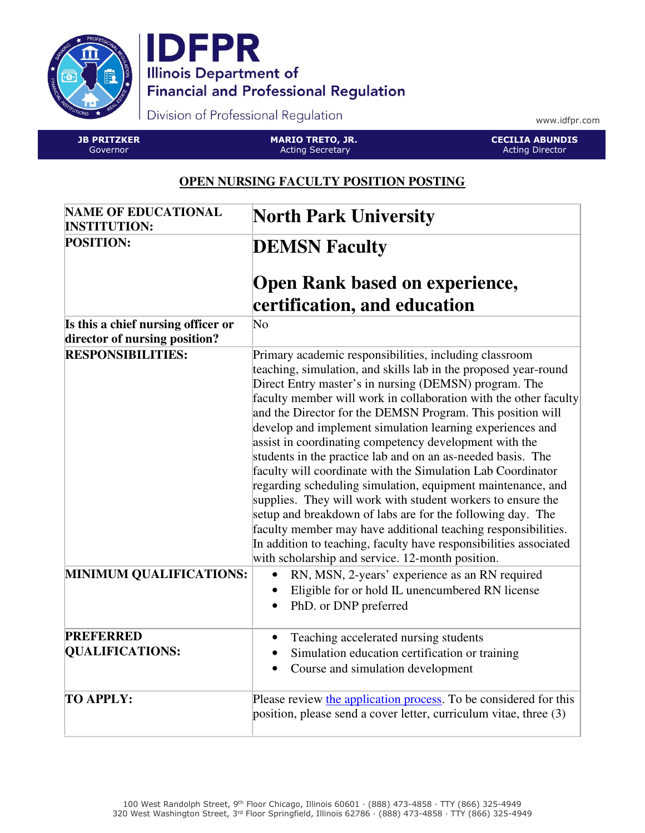



Division of Professional Regulation

www.idfpr.com

JB PRITZKER Governor

MARIO TRETO, JR. Acting Secretary

CECILIA ABUNDIS Acting Director

## **OPEN NURSING FACULTY POSITION POSTING**

| <b>NAME OF EDUCATIONAL</b><br><b>INSTITUTION:</b>                   | <b>North Park University</b>                                                                                                                                                                                                                                                                                                                                                                                                                                                                                                                                                                                                                                                                                                                                                                                                                                                                                                                                    |
|---------------------------------------------------------------------|-----------------------------------------------------------------------------------------------------------------------------------------------------------------------------------------------------------------------------------------------------------------------------------------------------------------------------------------------------------------------------------------------------------------------------------------------------------------------------------------------------------------------------------------------------------------------------------------------------------------------------------------------------------------------------------------------------------------------------------------------------------------------------------------------------------------------------------------------------------------------------------------------------------------------------------------------------------------|
| <b>POSITION:</b>                                                    | <b>DEMSN Faculty</b>                                                                                                                                                                                                                                                                                                                                                                                                                                                                                                                                                                                                                                                                                                                                                                                                                                                                                                                                            |
|                                                                     | <b>Open Rank based on experience,</b><br>certification, and education                                                                                                                                                                                                                                                                                                                                                                                                                                                                                                                                                                                                                                                                                                                                                                                                                                                                                           |
| Is this a chief nursing officer or<br>director of nursing position? | $\overline{\text{No}}$                                                                                                                                                                                                                                                                                                                                                                                                                                                                                                                                                                                                                                                                                                                                                                                                                                                                                                                                          |
| <b>RESPONSIBILITIES:</b>                                            | Primary academic responsibilities, including classroom<br>teaching, simulation, and skills lab in the proposed year-round<br>Direct Entry master's in nursing (DEMSN) program. The<br>faculty member will work in collaboration with the other faculty<br>and the Director for the DEMSN Program. This position will<br>develop and implement simulation learning experiences and<br>assist in coordinating competency development with the<br>students in the practice lab and on an as-needed basis. The<br>faculty will coordinate with the Simulation Lab Coordinator<br>regarding scheduling simulation, equipment maintenance, and<br>supplies. They will work with student workers to ensure the<br>setup and breakdown of labs are for the following day. The<br>faculty member may have additional teaching responsibilities.<br>In addition to teaching, faculty have responsibilities associated<br>with scholarship and service. 12-month position. |
| <b>MINIMUM QUALIFICATIONS:</b>                                      | RN, MSN, 2-years' experience as an RN required<br>Eligible for or hold IL unencumbered RN license<br>PhD. or DNP preferred                                                                                                                                                                                                                                                                                                                                                                                                                                                                                                                                                                                                                                                                                                                                                                                                                                      |
| <b>PREFERRED</b><br><b>QUALIFICATIONS:</b>                          | Teaching accelerated nursing students<br>Simulation education certification or training<br>Course and simulation development<br>$\bullet$                                                                                                                                                                                                                                                                                                                                                                                                                                                                                                                                                                                                                                                                                                                                                                                                                       |
| <b>TO APPLY:</b>                                                    | Please review the application process. To be considered for this<br>position, please send a cover letter, curriculum vitae, three (3)                                                                                                                                                                                                                                                                                                                                                                                                                                                                                                                                                                                                                                                                                                                                                                                                                           |